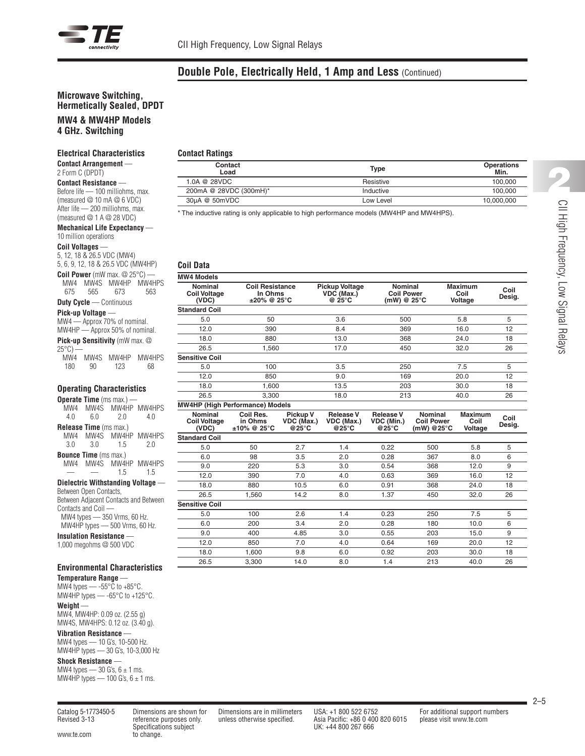**Contact Ratings**

**Coil Data MW4 Models**

**Standard Coil**

**Sensitive Coil**

**Standard Coil**

# **Double Pole, Electrically Held, 1 Amp and Less** (Continued)

**Contact Type Operations Load Min.**

1.0A @ 28VDC 28VDC Resistive Resistive Resistive 28VDC 200mA @ 28VDC (300mH)\* Inductive 100,000 30µA @ 50mVDC Low Level 10,000,000

Nominal Coil Resistance Pickup Voltage Nominal Maximum Coil<br>Coil Voltage In Ohms VDC (Max.) Coil Power Coil Doil<br>(VDC) ±20% @ 25°C @ 25°C (mW) @ 25°C Voltage Desig.

5.0 50 3.6 500 5.8 5 12.0 390 8.4 369 16.0 12 18.0 880 13.0 368 24.0 18 26.5 1,560 17.0 450 32.0 26

5.0 100 3.5 250 7.5 5 12.0 850 9.0 169 20.0 12 18.0 1,600 13.5 203 30.0 18 26.5 3,300 18.0 213 40.0 26

Nominal Coil Res. Pickup V Release V Release V Nominal Maximum Coil<br>Coil Voltage in Ohms VDC (Max.) VDC (Max.) VDC (Min.) Coil /Power Coil  Desig.<br>(VDC) ±10% @ 25°C @25°C @25°C @26°C (mW) @25°C Voltage Desig.

12.0 390 7.0 4.0 0.63 369 16.0 12

\* The inductive rating is only applicable to high performance models (MW4HP and MW4HPS).

### **Microwave Switching, Hermetically Sealed, DPDT**

# **MW4 & MW4HP Models**

**4 GHz. Switching**

#### **Electrical Characteristics**

**Contact Arrangement** — 2 Form C (DPDT)

**Contact Resistance** — Before life — 100 milliohms, max. (measured @ 10 mA @ 6 VDC) After life — 200 milliohms, max. (measured @ 1 A @ 28 VDC)

#### **Mechanical Life Expectancy** — 10 million operations

#### **Coil Voltages** —

5, 12, 18 & 26.5 VDC (MW4) 5, 6, 9, 12, 18 & 26.5 VDC (MW4HP) **Coil Power** (mW max. @ 25°C) — MW4 MW4S MW4HP MW4HPS 675 565 673 563 **Duty Cycle** — Continuous **Pick-up Voltage** — MW4 — Approx 70% of nominal. MW4HP — Approx 50% of nominal.

**Pick-up Sensitivity** (mW max. @

 $25^{\circ}$ C) MW4 MW4S MW4HP MW4HPS 180 90 123 68

#### **Operating Characteristics**

|                                       |       | <b>Operate Time</b> ( $ms$ max.) $-$ |                       |  |  |  |  |  |
|---------------------------------------|-------|--------------------------------------|-----------------------|--|--|--|--|--|
|                                       |       |                                      | MW4 MW4S MW4HP MW4HPS |  |  |  |  |  |
| 4 O                                   | 60    | 20                                   | 40                    |  |  |  |  |  |
| <b>Release Time</b> (ms max.)         |       |                                      |                       |  |  |  |  |  |
|                                       |       |                                      | MW4 MW4S MW4HP MW4HPS |  |  |  |  |  |
| 3.0                                   | 30 15 |                                      | 20                    |  |  |  |  |  |
| <b>Bounce Time</b> (ms max.)          |       |                                      |                       |  |  |  |  |  |
|                                       |       |                                      | MW4 MW4S MW4HP MW4HPS |  |  |  |  |  |
|                                       |       | 15                                   | 1.5                   |  |  |  |  |  |
| Dielectric Withstanding Voltage —     |       |                                      |                       |  |  |  |  |  |
| Between Open Contacts,                |       |                                      |                       |  |  |  |  |  |
| Between Adjacent Contacts and Between |       |                                      |                       |  |  |  |  |  |

Contacts and Coil — MW4 types — 350 Vrms, 60 Hz. MW4HP types — 500 Vrms, 60 Hz.

**Insulation Resistance** — 1,000 megohms @ 500 VDC

## **Environmental Characteristics**

**Temperature Range** — MW4 types  $-$  -55 $\degree$ C to +85 $\degree$ C. MW4HP types — -65°C to +125°C. **Weight** —

MW4, MW4HP: 0.09 oz. (2.55 g) MW4S, MW4HPS: 0.12 oz. (3.40 g). **Vibration Resistance** —

MW4 types — 10 G's, 10-500 Hz. MW4HP types — 30 G's, 10-3,000 Hz

# **Shock Resistance** —

MW4 types —  $30$  G's,  $6 \pm 1$  ms. MW4HP types  $-$  100 G's, 6  $\pm$  1 ms.

www.te.com to change.

Specifications subject UK: +44 800 267 666

Revised 3-13 reference purposes only. unless otherwise specified. Asia Pacific: +86 0 400 820 6015 please visit www.te.com

2–5

5.0 50 2.7 1.4 0.22 500 5.8 5 6.0 98 3.5 2.0 0.28 367 8.0 6 9.0 220 5.3 3.0 0.54 368 12.0 9

**MW4HP (High Performance) Models**

| 18.0                  | 880   | 10.5 | 6.0 | 0.91 | 368 | 24.0 | 18 |
|-----------------------|-------|------|-----|------|-----|------|----|
| 26.5                  | 1,560 | 14.2 | 8.0 | 1.37 | 450 | 32.0 | 26 |
| <b>Sensitive Coil</b> |       |      |     |      |     |      |    |
| 5.0                   | 100   | 2.6  | 1.4 | 0.23 | 250 | 7.5  | 5  |
| 6.0                   | 200   | 3.4  | 2.0 | 0.28 | 180 | 10.0 | 6  |
| 9.0                   | 400   | 4.85 | 3.0 | 0.55 | 203 | 15.0 | 9  |
| 12.0                  | 850   | 7.0  | 4.0 | 0.64 | 169 | 20.0 | 12 |
| 18.0                  | 1,600 | 9.8  | 6.0 | 0.92 | 203 | 30.0 | 18 |
| 26.5                  | 3,300 | 14.0 | 8.0 | 1.4  | 213 | 40.0 | 26 |
|                       |       |      |     |      |     |      |    |
|                       |       |      |     |      |     |      |    |